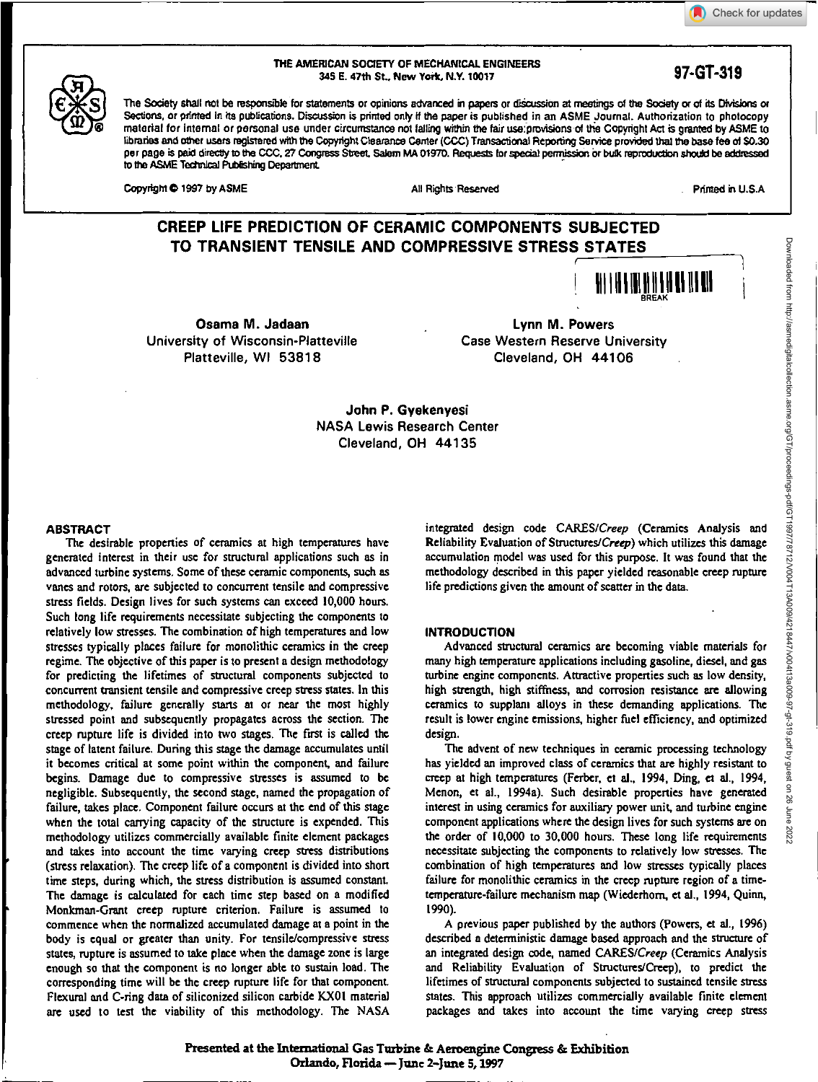# Check for updates





## THE AMERICAN SOCIETY OF MECHAMCAL ENGINEERS 345 E. 47th St., New York, N.Y. 10017 **97-GT-319**

The Society shall not be responsible for statements or opinions advanced in papers or discussion at meetings of the Society or of its Divisions or Sections, or printed In its publications. Discussion is printed only if the paper is published in an ASME Journal. Authorization to photocopy material for internal or personal use under circumstance not falling within the fair usaprovisions of the Copyright Act is granted by ASME to libraries and other users registered with the Copyright Clearance Center (GGC) Transactional Repotting Service provided that the base fee of \$0.30 per page is paid directly to the CCC, 27 Congress Street, Salem MA 01970. Requests for special permission or bulk reproduction should be addressed to the ASME Technical Publishing Department.

Copyright © 1997 by ASME All Rights Reserved All Rights Reserved **Printed in U.S.A.** 

# **CREEP LIFE PREDICTION OF CERAMIC COMPONENTS SUBJECTED TO TRANSIENT TENSILE AND COMPRESSIVE STRESS STATES**



**Osama M. Jadaan Lynn M. Powers** University of Wisconsin-Platteville Case Western Reserve University Platteville, WI 53818 Cleveland, OH 44106

**John P. Gyekenyesi NASA** Lewis Research Center Cleveland, OH 44135

## **ABSTRACT**

The desirable properties of ceramics at high temperatures have generated interest in their use for structural applications such as in advanced turbine systems. Some of these ceramic components, such as vanes and rotors, are subjected to concurrent tensile and compressive stress fields. Design lives for such systems can exceed 10,000 hours. Such long life requirements necessitate subjecting the components to relatively low stresses. The combination of high temperatures and low stresses typically places failure for monolithic ceramics in the creep regime. The objective of this paper is to present a design methodology for predicting the lifetimes of structural components subjected to concurrent transient tensile and compressive creep stress states. In this methodology, failure generally starts at or near the most highly stressed point and subsequently propagates across the section. The creep rupture life is divided into two stages. The first is called the stage of latent failure. During this stage the damage accumulates until it becomes critical at some point within the component, and failure begins. Damage due to compressive stresses is assumed to be negligible. Subsequently, the second stage, named the propagation of failure, takes place. Component failure occurs at the end of this stage when the total carrying capacity of the structure is expended. This methodology utilizes commercially available finite element packages and takes into account the time varying creep stress distributions (stress relaxation). The creep life of a component is divided into short time steps, during which, the stress distribution is assumed constant. The damage is calculated for each time step based on a modified Monkman-Grant creep rupture criterion. Failure is assumed to commence when the normalized accumulated damage at a point in the body is equal or greater than unity. For tensile/compressive stress states, rupture is assumed to take place when the damage zone is large enough so that the component is no longer able to sustain load. The corresponding time will be the creep rupture life for that component. Flexural and C-ring data of siliconized silicon carbide KX01 material are used to test the viability of this methodology. The NASA integrated design code CARES/Creep (Ceramics Analysis and Reliability Evaluation of Structures/Creep) which utilizes this damage accumulation model was used for this purpose. It was found that the methodology described in this paper yielded reasonable creep rupture life predictions given the amount of scatter in the data.

## INTRODUCTION

Advanced structural ceramics are becoming viable materials for many high temperature applications including gasoline, diesel, and gas turbine engine components. Attractive properties such as low density, high strength, high stiffness, and corrosion resistance are allowing ceramics to supplant alloys in these demanding applications. The result is lower engine emissions, higher fuel efficiency, and optimized design.

The advent of new techniques in ceramic processing technology has yielded an improved class of ceramics that *are* highly resistant to creep at high temperatures (Ferber, et al., 1994. Ding, et al., 1994, Menon, et al., 1994a). Such desirable properties have generated interest in using ceramics for auxiliary power unit, and turbine engine component applications where the design lives for such systems are on the order of 10,000 to 30,000 hours. These long life requirements necessitate subjecting the components to relatively low stresses. The combination of high temperatures and low stresses typically places failure for monolithic ceramics in the creep rupture region of a timetemperature-failure mechanism map (Wiederhom, et al., 1994, Quinn, 1990).

A previous paper published by the authors (Powers, et al., 1996) described a deterministic damage based approach and the structure of an integrated design code, named CARES/Creep (Ceramics Analysis and Reliability Evaluation of Structures/Creep), to predict the lifetimes of structural components subjected to sustained tensile stress states. This approach utilizes commercially available finite element packages and takes into account the time varying creep stress

Presented at the International Gas Turbine & Aeroengine Congress & Exhibition **Orlando, Florida — June 2—June 5,1997**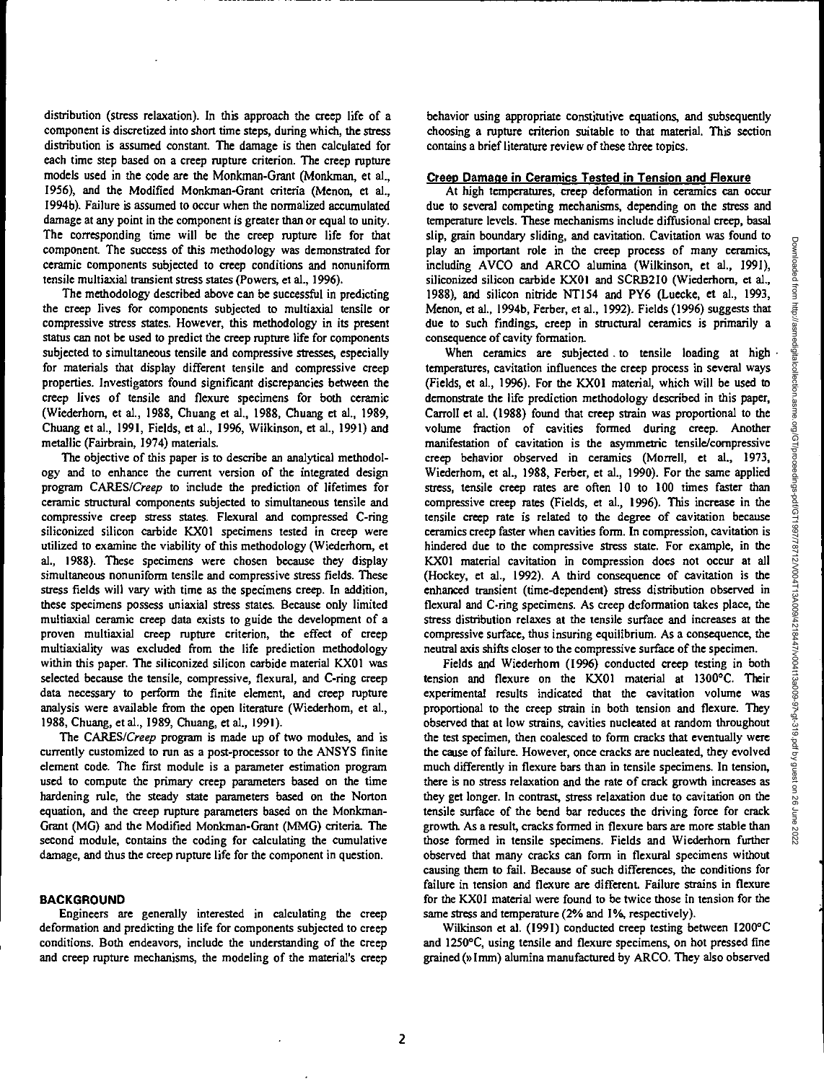distribution (stress relaxation). In this approach the creep life of a component is discretized into short time steps, during which, the stress distribution is assumed constant. The damage is then calculated for each time step based on a creep rupture criterion. The creep rupture models used in the code are the Monkman-Grant (Monkman, et al., 1956), and the Modified Monkman-Grant criteria (Menon, et al., 1994b). Failure is assumed to occur when the normalized accumulated damage at any point in the component is greater than or equal to unity. The corresponding time will be the creep rupture life for that component. The success of this methodology was demonstrated for ceramic components subjected to creep conditions and nonuniform tensile multiaxial transient stress states (Powers, et al., 1996).

The methodology described above can be successful in predicting the creep lives for components subjected to multiaxial tensile or compressive stress states. However, this methodology in its present status can not be used to predict the creep rupture life for components subjected to simultaneous tensile and compressive stresses, especially for materials that display different tensile and compressive creep properties. Investigators found significant discrepancies between the creep lives of tensile and flexure specimens for both ceramic (Wiederhom, et al., 1988, Chuang et al., 1988, Chuang et al., 1989, Chuang et al., 1991, Fields, et al., 1996, Wilkinson, et al., 1991) and metallic (Fairbrain, 1974) materials.

The objective of this paper is to describe an analytical methodology and to enhance the current version of the integrated design program CARES/Creep to include the prediction of lifetimes for ceramic structural components subjected to simultaneous tensile and compressive creep stress states. Flexural and compressed C-ring siliconized silicon carbide KX01 specimens tested in creep were utilized to examine the viability of this methodology (Wiederhom, et al., 1988). These specimens were chosen because they display simultaneous nonuniform tensile and compressive stress fields. These stress fields will vary with time as the specimens creep. In addition, these specimens possess uniaxial stress states. Because only limited multiaxial ceramic creep data exists to guide the development of a proven multiaxial creep rupture criterion, the effect of creep multiaxiality was excluded from the life prediction methodology within this paper. The siliconized silicon carbide material KX01 was selected because the tensile, compressive, flexural, and C-ring creep data necessary to perform the finite element, and creep rupture analysis were available from the open literature (Wiederhom, et al., 1988, Chuang, et al., 1989, Chuang, et al., 1991).

The CARES/Creep program is made up of two modules, and is currently customized to run as a post-processor to the ANSYS finite element code. The first module is a parameter estimation program used to compute the primary creep parameters based on the time hardening rule, the steady state parameters based on the Norton equation, and the creep rupture parameters based on the Monkman-Grant (MG) and the Modified Monkman-Grant (MMG) criteria. The second module, contains the coding for calculating the cumulative damage, and thus the creep rupture life for the component in question.

## **BACKGROUND**

Engineers are generally interested in calculating the creep deformation and predicting the life for components subjected to creep conditions. Both endeavors, include the understanding of the creep and creep rupture mechanisms, the modeling of the material's creep behavior using appropriate constitutive equations, and subsequently choosing a rupture criterion suitable to that material. This section contains a brief literature review of these three topics.

## **Creep Damage in Ceramics Tested in Tension and Flexure**

At high temperatures, creep deformation in ceramics can occur due to several competing mechanisms, depending on the stress and temperature levels. These mechanisms include diffusional creep, basal slip, grain boundary sliding, and cavitation. Cavitation was found to play an important role in the creep process of many ceramics, including AVCO and ARCO alumina (Wilkinson, et al., 1991), siliconized silicon carbide KX01 and SCRB210 (Wiederhom, et al., 1988), and silicon nitride NT 154 and PY6 (Luecke, et al., 1993, Menon, et al., 1994b, Ferber, et al., 1992). Fields (1996) suggests that due to such findings, creep in structural ceramics is primarily a consequence of cavity formation.

When ceramics are subjected to tensile loading at high temperatures, cavitation influences the creep process in several ways (Fields, et al., 1996). For the KX01 material, which will be used to demonstrate the life prediction methodology described in this paper, Carroll et al. (1988) found that creep strain was proportional to the volume fraction of cavities formed during creep. Another manifestation of cavitation is the asymmetric tensile/compressive creep behavior observed in ceramics (Morrell, et al., 1973, Wiederhom, et al., 1988, Ferber, et al., 1990). For the same applied stress, tensile creep rates are often 10 to 100 times faster than compressive creep rates (Fields, et al., 1996). This increase in the tensile creep rate is related to the degree of cavitation because ceramics creep faster when cavities form. In compression, cavitation is hindered due to the compressive stress state. For example, in the KX01 material cavitation in compression does not occur at all (Hockey, et al., 1992). A third consequence of cavitation is the enhanced transient (time-dependent) stress distribution observed in flexural and C-ring specimens. As creep deformation takes place, the stress distribution relaxes at the tensile surface and increases at the compressive surface, thus insuring equilibrium. As a consequence, the neutral axis shifts closer to the compressive surface of the specimen.

Fields and Wiederhom (1996) conducted creep testing in both tension and flexure on the KX01 material at 1300°C. Their experimental results indicated that the cavitation volume was proportional to the creep strain in both tension and flexure. They observed that at low strains, cavities nucleated at random throughout the test specimen, then coalesced to form cracks that eventually were the cause of failure. However, once cracks are nucleated, they evolved much differently in flexure bars than in tensile specimens. In tension, there is no stress relaxation and the rate of crack growth increases as they get longer. In contrast, stress relaxation due to cavitation on the tensile surface of the bend bar reduces the driving force for crack growth. As a result, cracks formed in flexure bars are more stable than those formed in tensile specimens. Fields and Wiederhom further observed that many cracks can form in flexural specimens without causing them to fail. Because of such differences, the conditions for failure in tension and flexure are different. Failure strains in flexure for the ICX01 material were found to be twice those in tension for the same stress and temperature (2% and 1%, respectively).

Wilkinson et al. (1991) conducted creep testing between 1200°C and 1250°C, using tensile and flexure specimens, on hot pressed fine grained (» I mm) alumina manufactured by ARCO. They also observed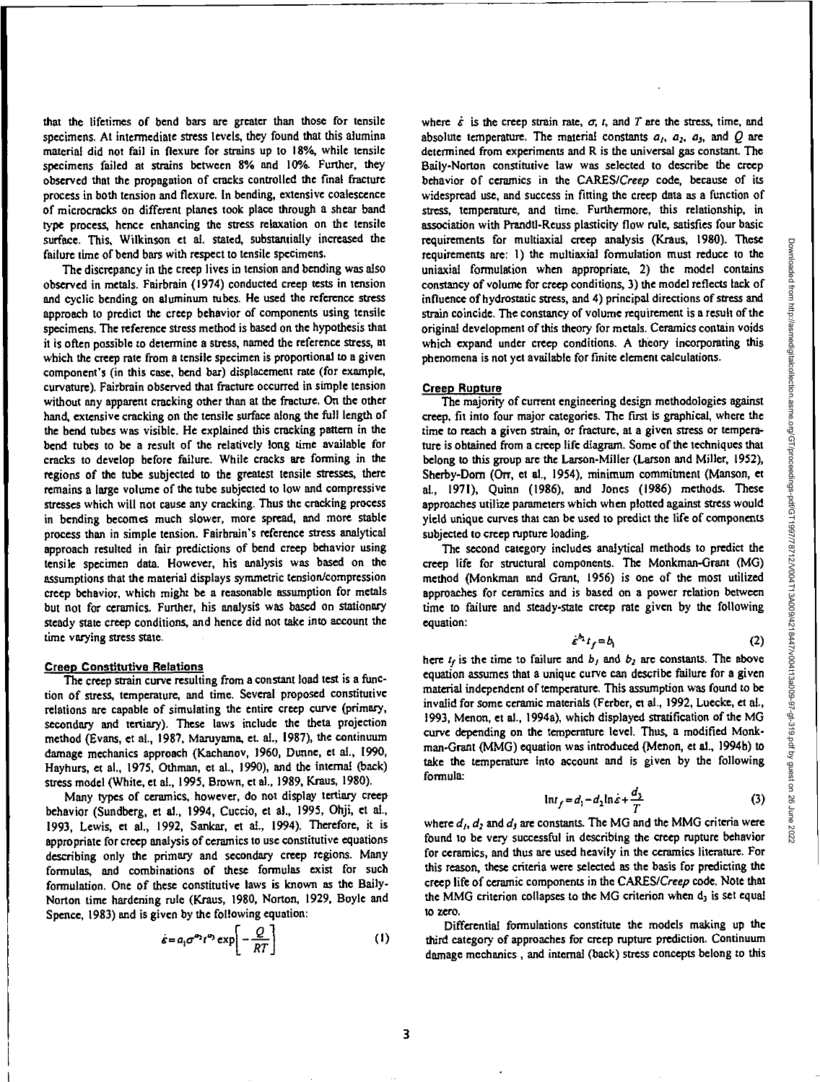that the lifetimes of bend bars are greater than those for tensile specimens. At intermediate stress levels, they found that this alumina material did not fail in flexure for strains up to 18%, while tensile specimens failed at strains between 8% and 10%. Further, they observed that the propagation of cracks controlled the final fracture process in both tension and flexure. In bending, extensive coalescence of microcracks on different planes took place through a shear band type process, hence enhancing the stress relaxation on the tensile surface, This, Wilkinson et al. stated, substantially increased the failure time of bend bars with respect to tensile specimens.

The discrepancy in the creep lives in tension and bending was also observed in metals. Fairbrain (1974) conducted creep tests in tension and cyclic bending on aluminum tubes. He used the reference stress approach to predict the creep behavior of components using tensile specimens. The reference stress method is based on the hypothesis that it is often possible to determine a stress, named the reference stress, at which the creep rate from a tensile specimen is proportional to a given component's (in this case, bend bar) displacement rate (for example, curvature). Fairbrain observed that fracture occurred in simple tension without any apparent cracking other than at the fracture. On the other hand, extensive cracking on the tensile surface along the full length of the bend tubes was visible. He explained this cracking pattern in the bend tubes to be a result of the relatively long time available for cracks to develop before failure. While cracks are forming in the regions of the tube subjected to the greatest tensile stresses, there remains a large volume of the tube subjected to low and compressive stresses which will not cause any cracking. Thus the cracking process in bending becomes much slower, more spread, and more stable process than in simple tension. Fairbrain's reference stress analytical approach resulted in fair predictions of bend creep behavior using tensile specimen data. However, his analysis was based on the assumptions that the material displays symmetric tension/compression creep behavior, which might be a reasonable assumption for metals but not for ceramics. Further, his analysis was based on stationary steady state creep conditions, and hence did not take into account the time varying stress state.

#### **Creep Constitutive Relations**

The creep strain curve resulting from a constant load test is a function of stress, temperature, and time. Several proposed constitutive relations are capable of simulating the entire creep curve (primary, secondary and tertiary). These laws include the theta projection method (Evans, et al., 1987, Maruyama, et. al., 1987), the continuum damage mechanics approach (Kachanov, 1960, Dunne, et al., 1990, Hayhurs, et al., 1975, Othman, et al., 1990), and the internal (back) stress model (White, et al., 1995, Brown, et al., 1989, Kraus, 1980).

Many types of ceramics, however, do not display tertiary creep behavior (Sundberg, et al., 1994, Cuccio, et al., 1995, Ohji, et al., 1993, Lewis, et al., 1992, Sankar, et al., 1994). Therefore, it is appropriate for creep analysis of ceramics to use constitutive equations describing only the primary and secondary creep regions. Many formulas, and combinations of these formulas exist for such formulation. One of these constitutive laws is known as the Baily-Norton time hardening rule (Kraus, 1980, Norton, 1929, Boyle and Spence, 1983) and is given by the following equation:

$$
\dot{\varepsilon} = a_1 \sigma^{\varepsilon_2} t^{\varepsilon_3} \exp\left[-\frac{Q}{RT}\right] \tag{1}
$$

where  $\dot{\varepsilon}$  is the creep strain rate,  $\sigma$ ,  $t$ , and  $T$  are the stress, time, and absolute temperature. The material constants  $a_1$ ,  $a_2$ ,  $a_3$ , and Q are determined from experiments and R is the universal gas constant. **The**  Baily-Norton constitutive law was selected to describe the creep behavior of ceramics in the CARES/Creep code, because of its widespread use, and success in fitting the creep data as a function of stress, temperature, and time. Furthermore, this relationship, in association with Prandtl-Reuss plasticity flow rule, satisfies four basic requirements for multiaxial creep analysis (Kraus, 1980). These requirements are: **I)** the multiaxial formulation must reduce to the uniaxial formulation when appropriate, 2) the model contains constancy of volume for creep conditions, 3) the model reflects lack of influence of hydrostatic stress, and 4) principal directions of stress and strain coincide. The constancy of volume requirement is a result of the original development of this theory for metals. Ceramics contain voids which expand under creep conditions. A theory incorporating this phenomena is not yet available for finite element calculations.

#### **Creep Rupture**

**The** majority of current engineering design methodologies against creep, fit into four major categories. The first is graphical, where the time to reach a given strain, or fracture, at a given stress or temperature is obtained from a creep life diagram. Some of the techniques that belong to this group are the Larson-Miller (Larson and Miller, 1952), Sherby-Dorn (Orr, et al., 1954), minimum commitment (Manson, et al., 1971), Quinn (1986), and Jones (1986) methods. These approaches utilize parameters which when plotted against stress would yield unique curves that can be used to predict the life of components subjected to creep rupture loading.

The second category includes analytical methods to predict the creep life for structural components. The Monkman-Grant (MG) method (Monkman and Grant, 1956) is one of the most utilized approaches for ceramics and is based on a power relation between time to failure and steady-state creep rate given by the following equation:

$$
\dot{\epsilon}^{b_1} t_f = b_1 \tag{2}
$$

here  $t_f$  is the time to failure and  $b_1$  and  $b_2$  are constants. The above equation assumes that a unique curve can describe failure for a given material independent of temperature. This assumption was found to be invalid for some ceramic materials (Ferber, et al., 1992, Luecke, et al., 1993, Menon, et al., I994a), which displayed stratification of the MG curve depending on the temperature level. Thus, a modified Monkman-Grant (MMG) equation was introduced (Menon, et al., 1994b) to take the temperature into account and is given by the following formula:

$$
\ln t_f = d_1 - d_2 \ln \dot{\varepsilon} + \frac{d_3}{T} \tag{3}
$$

where  $d_1$ ,  $d_2$  and  $d_3$  are constants. The MG and the MMG criteria were found to be very successful in describing the creep rupture behavior for ceramics, and thus are used heavily in the ceramics literature. For this reason, these criteria were selected as the basis for predicting the creep life of ceramic components in the CARES/Creep code. Note that the MMG criterion collapses to the MG criterion when  $d_3$  is set equal to zero.

Differential formulations constitute the models making up the third category of approaches for creep rupture prediction. Continuum damage mechanics, and internal (back) stress concepts belong to this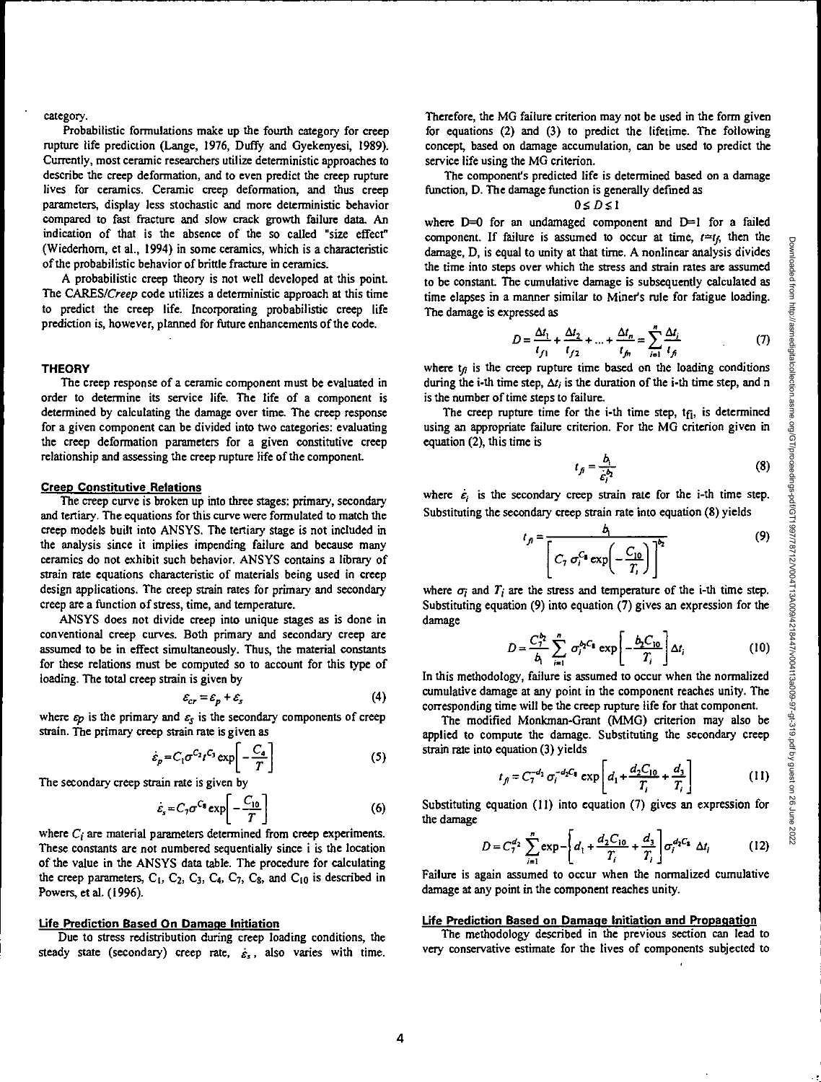## category.

Probabilistic formulations make up the fourth category for creep rupture life prediction (Lange, 1976, Duffy and Gyekenyesi, 1989). Currently, most ceramic researchers utilize deterministic approaches to describe the creep deformation, and to even predict the creep rupture lives for ceramics. Ceramic creep deformation, and thus creep parameters, display less stochastic and more deterministic behavior compared to fast fracture and slow crack growth failure data. An indication of that is the absence of the so called "size effect" (Wiederhom, et al., 1994) in some ceramics, which is a characteristic of the probabilistic behavior of brittle fracture in ceramics.

A probabilistic creep theory is not well developed at this point. The CARES/Creep code utilizes a deterministic approach at this time to predict the creep life. Incorporating probabilistic creep life prediction is, however, planned for future enhancements of the code.

## **THEORY**

The creep response of a ceramic component must be evaluated in order to determine its service life. The life of a component is determined by calculating the damage over time. The creep response for a given component can be divided into two categories: evaluating the creep deformation parameters for a given constitutive creep relationship and assessing the creep rupture life of the component

## **Creep Constitutive Relations**

The creep curve is broken up into three stages: primary, secondary and tertiary. The equations for this curve were formulated to match the creep models built into ANSYS. The tertiary stage is not included in the analysis since it implies impending failure and because many ceramics do not exhibit such behavior. ANSYS contains a library of strain rate equations characteristic of materials being used in creep design applications. The creep strain rates for primary and secondary creep are a function of stress, time, and temperature.

ANSYS does not divide creep into unique stages as is done in conventional creep curves. Both primary and secondary creep are assumed to be in effect simultaneously. Thus, the material constants for these relations must be computed so to account for this type of loading. The total creep strain is given by

$$
\varepsilon_{cr} = \varepsilon_p + \varepsilon_s \tag{4}
$$

where  $\varepsilon_p$  is the primary and  $\varepsilon_s$  is the secondary components of creep strain. The primary creep strain rate is given as

$$
\dot{\varepsilon}_p = C_1 \sigma^{C_2} t^{C_3} \exp\left[-\frac{C_4}{T}\right]
$$
 (5)

The secondary creep strain rate is given by

$$
\dot{\varepsilon}_s = C_7 \sigma^{C_8} \exp\left[-\frac{C_{10}}{T}\right] \tag{6}
$$

where  $C_i$  are material parameters determined from creep experiments. These constants are not numbered sequentially since i is the location of the value in the ANSYS data table. The procedure for calculating the creep parameters,  $C_1$ ,  $C_2$ ,  $C_3$ ,  $C_4$ ,  $C_7$ ,  $C_8$ , and  $C_{10}$  is described in Powers, et al. (1996).

## **Life Prediction Based On Damage Initiation**

Due to stress redistribution during creep loading conditions, the steady state (secondary) creep rate, *a"* also varies with time.

Therefore, the MG failure criterion may not be used in the form given for equations (2) and (3) to predict the lifetime. The following concept, based on damage accumulation, can be used to predict the service life using the MG criterion.

The component's predicted life is determined based on a damage function, D. The damage function is generally defined as

## $0 \leq D \leq 1$

where  $D=0$  for an undamaged component and  $D=1$  for a failed component. If failure is assumed to occur at time,  $t=t<sub>f</sub>$ , then the damage, D, is equal to unity at that time. A nonlinear analysis divides the time into steps over which the stress and strain rates are assumed to be constant. The cumulative damage is subsequently calculated as time elapses in a manner similar to Miner's rule for fatigue loading. The damage is expressed as

$$
D = \frac{\Delta t_1}{t_{f1}} + \frac{\Delta t_2}{t_{f2}} + \dots + \frac{\Delta t_n}{t_{fn}} = \sum_{i=1}^n \frac{\Delta t_i}{t_{fi}} \tag{7}
$$

where  $t_{\beta}$  is the creep rupture time based on the loading conditions during the i-th time step,  $\Delta t_i$  is the duration of the i-th time step, and n is the number of time steps to failure.

The creep rupture time for the i-th time step,  $t_{fi}$ , is determined using an appropriate failure criterion. For the MG criterion given in equation (2), this time is

$$
t_{\bar{f}} = \frac{b_1}{\dot{\varepsilon}_i^{b_2}}\tag{8}
$$

where  $\dot{\epsilon}_i$  is the secondary creep strain rate for the i-th time step. Substituting the secondary creep strain rate into equation (8) yields

$$
t_{f} = \frac{b_{1}}{\left[C_{1} \sigma_{i}^{C_{1}} \exp\left(-\frac{C_{10}}{T_{i}}\right)\right]^{b_{2}}}
$$
(9)

where  $\sigma_i$  and  $T_i$  are the stress and temperature of the i-th time step. Substituting equation (9) into equation (7) gives an expression for the damage

$$
D = \frac{C_7^{b_2}}{b_1} \sum_{i=1}^n \sigma_i^{b_2 C_1} \exp\left[-\frac{b_2 C_{10}}{T_i}\right] \Delta t_i
$$
 (10)

In this methodology, failure is assumed to occur when the normalized cumulative damage at any point in the component reaches unity. The corresponding time will be the creep rupture life for that component.

The modified Monkman-Grant (MMG) criterion may also be applied to compute the damage. Substituting the secondary creep *strain* rate into equation (3) yields

$$
t_{f} = C_{7}^{-d_{2}} \sigma_{i}^{-d_{2}C_{8}} \exp\left[d_{1} + \frac{d_{2}C_{10}}{T_{i}} + \frac{d_{3}}{T_{i}}\right]
$$
 (11)

Substituting equation (II) into equation (7) gives an expression for the damage

$$
D = C_7^{d_2} \sum_{i=1}^n \exp\left[ d_1 + \frac{d_2 C_{10}}{T_i} + \frac{d_3}{T_i} \right] \sigma_i^{d_2 C_8} \Delta t_i \tag{12}
$$

Failure is again assumed to occur when the normalized cumulative damage at any point in the component reaches unity.

#### **Life Prediction Based on Damage Initiation and Propagation**

The methodology described in the previous section can lead to very conservative estimate for the lives of components subjected to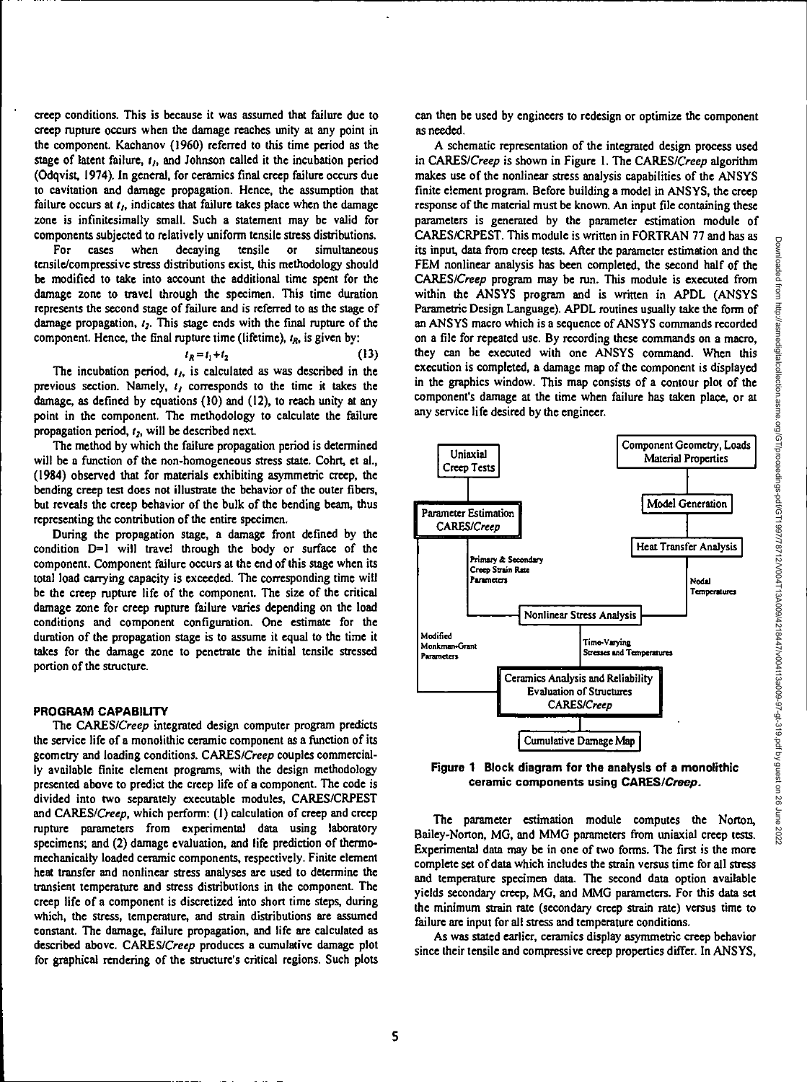creep conditions. This is because it was assumed that failure due to creep rupture occurs when the damage reaches unity at any point in the component. Kachanov (1960) referred to this time period as the stage of latent failure, *4,* and Johnson called it the incubation period (Odqvist, 1974). In general, for ceramics final creep failure occurs due to cavitation and damage propagation. Hence, the assumption that failure occurs at  $t<sub>k</sub>$ , indicates that failure takes place when the damage zone is infinitesimally small. Such a statement may be valid for components subjected to relatively uniform tensile stress distributions.

For cases when decaying tensile or simultaneous tensile/compressive stress distributions exist, this methodology should be modified to take into account the additional time spent for the damage zone to travel through the specimen. This time duration represents the second stage of failure and is referred to as the stage of damage propagation,  $t_2$ . This stage ends with the final rupture of the component. Hence, the final rupture time (lifetime),  $t_R$ , is given by:

$$
t_R = t_1 + t_2 \tag{13}
$$

The incubation period, *4,* is calculated as was described in the previous section. Namely,  $t_1$  corresponds to the time it takes the damage, as defined by equations (10) and (12), to reach unity at any point in the component. The methodology to calculate the failure propagation period,  $t_2$ , will be described next.

The method by which the failure propagation period is determined will be a function of the non-homogeneous stress state. Cohrt, et al., (1984) observed that for materials exhibiting asymmetric creep, the bending creep test does not illustrate the behavior of the outer fibers, but reveals the creep behavior of the bulk of the bending beam, thus representing the contribution of the entire specimen.

During the propagation stage, a damage front defined by the condition 0=1 will travel through the body or surface of the component. Component failure occurs at the end of this stage when its total load carrying capacity is exceeded. The corresponding time will be the creep rupture life of the component. The size of the critical damage zone for creep rupture failure varies depending on the load conditions and component configuration. One estimate for the duration of the propagation stage is to assume it equal to the time it takes for the damage zone to penetrate the initial tensile stressed portion of the structure.

## **PROGRAM CAPABILITY**

The CARES/Creep integrated design computer program predicts the service life of a monolithic ceramic component as a function of its geometry and loading conditions. *CARES/Creep* couples commercially available finite element programs, with the design methodology presented above to predict the creep life of a component. The code is divided into two separately executable modules, CARES/CRPEST and CARES/Creep, which perform: (I) calculation of creep and creep rupture parameters from experimental data using laboratory specimens; and (2) damage evaluation, and life prediction of thermomechanically loaded ceramic components, respectively. Finite element heat transfer and nonlinear stress analyses are used to determine the transient temperature and stress distributions in the component. The creep life of a component is discretized into short time steps, during which, the stress, temperature, and strain distributions are assumed constant. The damage, failure propagation, and life are calculated as described above. CARES/Creep produces a cumulative damage plot for graphical rendering of the structure's critical regions. Such plots can then be used by engineers to redesign or optimize the component as needed.

A schematic representation of the integrated design process used in CARES/Creep is shown in Figure 1. The CARES/Creep algorithm makes use of the nonlinear stress analysis capabilities of the ANSYS finite element program. Before building a model in ANSYS, the creep response of the material must be known. An input file containing these parameters is generated by the parameter estimation module of CARES/CRPEST. This module is written in FORTRAN 77 and has as its input, data from creep tests. After the parameter estimation and the FEM nonlinear analysis has been completed, the second half of the CARES/Creep program may be run. This module is executed from within the ANSYS program and is written in APDL (ANSYS Parametric Design Language). APDL routines usually take the form of an ANSYS macro which is a sequence of ANSYS commands recorded on a file for repeated use. By recording these commands on a macro, they can be executed with one ANSYS command. When this execution is completed, a damage map of the component is displayed in the graphics window. This map consists of a contour plot of the component's damage at the time when failure has taken place, or at any service life desired by the engineer.



**Figure 1 Block diagram for the analysis of a monolithic ceramic components using CARES/Creep.** 

**The** parameter estimation module computes the Norton, Bailey-Norton, MG, and MMG parameters from uniaxial creep tests. Experimental data may be in one of two forms. The first is the more complete set of data which includes the strain versus time for all stress and temperature specimen data. The second data option available yields secondary creep, MG, and MMG parameters. For this data set the minimum strain rate (secondary creep strain rate) versus time to failure are input for all stress and temperature conditions.

As was stated earlier, ceramics display asymmetric creep behavior since their tensile and compressive creep properties differ. In ANSYS,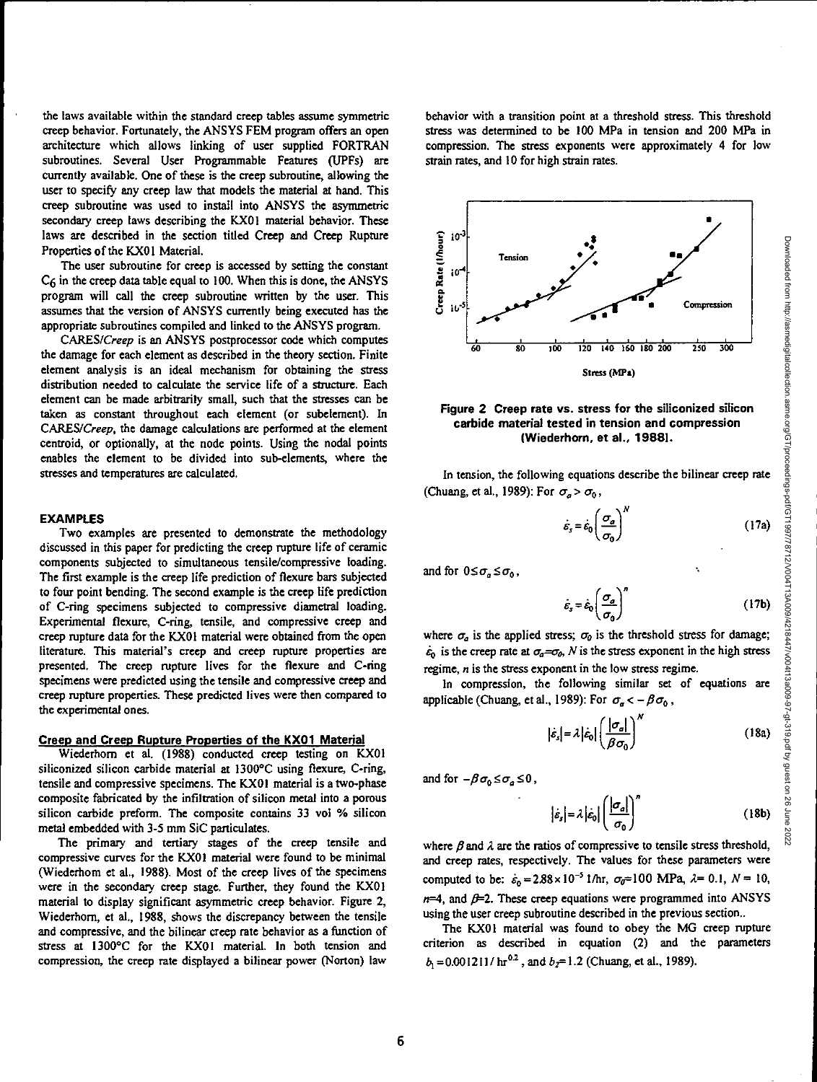Downloaded from http://asmedigitalcollection.asme.org/GT/proceedings-pdf/GT1997/78712/V004T13A009/4218447/v004t13a009-97-gt-319.pdf by guest on 26 June 2022

the laws available within the standard creep tables assume symmetric creep behavior. Fortunately, the ANSYS FEM program offers an open architecture which allows linking of user supplied FORTRAN subroutines. Several User Programmable Features (UPFs) are currently available. One of these is the creep subroutine, allowing the user to specify any creep law that models the material at hand. This creep subroutine was used to install into ANSYS the asymmetric secondary creep laws describing the KX01 material behavior. These laws are described in the section titled Creep and Creep Rupture Properties of the KX01 Material.

The user subroutine for creep is accessed by setting the constant C6 in the creep data table equal to 100. When this is done, the ANSYS program will call the creep subroutine written by the user. This assumes that the version of ANSYS currently being executed has the appropriate subroutines compiled and linked to the ANSYS program.

CARES/Creep is an ANSYS postprocessor code which computes the damage for each element as described in the theory section. Finite element analysis is an ideal mechanism for obtaining the stress distribution needed to calculate the service life of a structure. Each element can be made arbitrarily small, such that the stresses can be taken as constant throughout each element (or subelement). In CARES/Creep, the damage calculations are performed at the element centroid, or optionally, at the node points. Using the nodal points enables the element to be divided into sub-elements, where the stresses and temperatures are calculated.

#### **EXAMPLES**

Two examples are presented to demonstrate the methodology discussed in this paper for predicting the creep rupture life of ceramic components subjected to simultaneous tensile/compressive loading. The first example is the creep life prediction of flexure bars subjected to four point bending. The second example is the creep life prediction of C-ring specimens subjected to compressive diametral loading. Experimental flexure, C-ring, tensile, and compressive creep and creep rupture data for the KX01 material were obtained from the open literature. This material's creep and creep rupture properties are presented. The creep rupture lives for the flexure and C-ring specimens were predicted using the tensile and compressive creep and creep rupture properties. These predicted lives were then compared to the experimental ones.

## **Creep and Creep Rupture Properties of the KX01 Material**

Wiederhorn et al. (1988) conducted creep testing on KX01 siliconized silicon carbide material at 1300°C using flexure, C-ring, tensile and compressive specimens. The KX01 material is a two-phase composite fabricated by the infiltration of silicon metal into a porous silicon carbide preform. The composite contains 33 vol % silicon metal embedded with 3-5 mm SiC particulates.

The primary and tertiary stages of the creep tensile and compressive curves for the KX01 material were found to be minimal (Wiederhom et al., 1988). Most of the creep lives of the specimens were in the secondary creep stage. Further, they found the KX01 material to display significant asymmetric creep behavior. Figure 2, Wiederhom, et al., 1988, shows the discrepancy between the tensile and compressive, and the bilinear creep rate behavior as a function of stress at 1300°C for the KX01 material. In both tension and compression, the creep rate displayed a bilinear power (Norton) law

behavior with a transition point at a threshold stress. This threshold stress was determined to be 100 MPa in tension and 200 MPa in compression. The stress exponents were approximately 4 for low strain rates, and 10 for high strain rates.





In tension, the following equations describe the bilinear creep rate (Chuang, et al., 1989): For  $\sigma_a > \sigma_0$ ,

$$
\dot{\varepsilon}_s = \dot{\varepsilon}_0 \left( \frac{\sigma_a}{\sigma_0} \right)^N \tag{17a}
$$

and for  $0 \leq \sigma_n \leq \sigma_n$ ,

$$
\dot{\varepsilon}_s = \dot{\varepsilon}_0 \left( \frac{\sigma_a}{\sigma_0} \right)^n \tag{17b}
$$

where  $\sigma_a$  is the applied stress;  $\sigma_b$  is the threshold stress for damage;  $\dot{\epsilon}_0$  is the creep rate at  $\sigma_a = \sigma_b$ , N is the stress exponent in the high stress regime, n is the stress exponent in the low stress regime.

In compression, the following similar set of equations are applicable (Chuang, et al., 1989): For  $\sigma_n < -\beta \sigma_0$ ,

$$
\left|\dot{\varepsilon}_{s}\right| = \lambda \left|\dot{\varepsilon}_{0}\right| \left(\frac{\left|\sigma_{a}\right|}{\beta \sigma_{0}}\right)^{N} \tag{18a}
$$

and for  $-\beta \sigma_0 \leq \sigma_a \leq 0$ ,

$$
\left|\dot{\varepsilon}_{s}\right| = \lambda \left|\dot{\varepsilon}_{0}\right| \left(\frac{\left|\sigma_{a}\right|}{\sigma_{0}}\right)^{n} \tag{18b}
$$

where  $\beta$  and  $\lambda$  are the ratios of compressive to tensile stress threshold, and creep rates, respectively. The values for these parameters were computed to be:  $\dot{\epsilon}_0 = 2.88 \times 10^{-5}$  1/hr,  $\sigma_0 = 100$  MPa,  $\lambda = 0.1$ ,  $N = 10$ ,  $n=4$ , and  $\beta=2$ . These creep equations were programmed into ANSYS using the user creep subroutine described in the previous section..

The KX01 material was found to obey the MG creep rupture criterion as described in equation (2) and the parameters  $b_1 = 0.001211 / \text{ hr}^{0.2}$ , and  $b_2 = 1.2$  (Chuang, et al., 1989).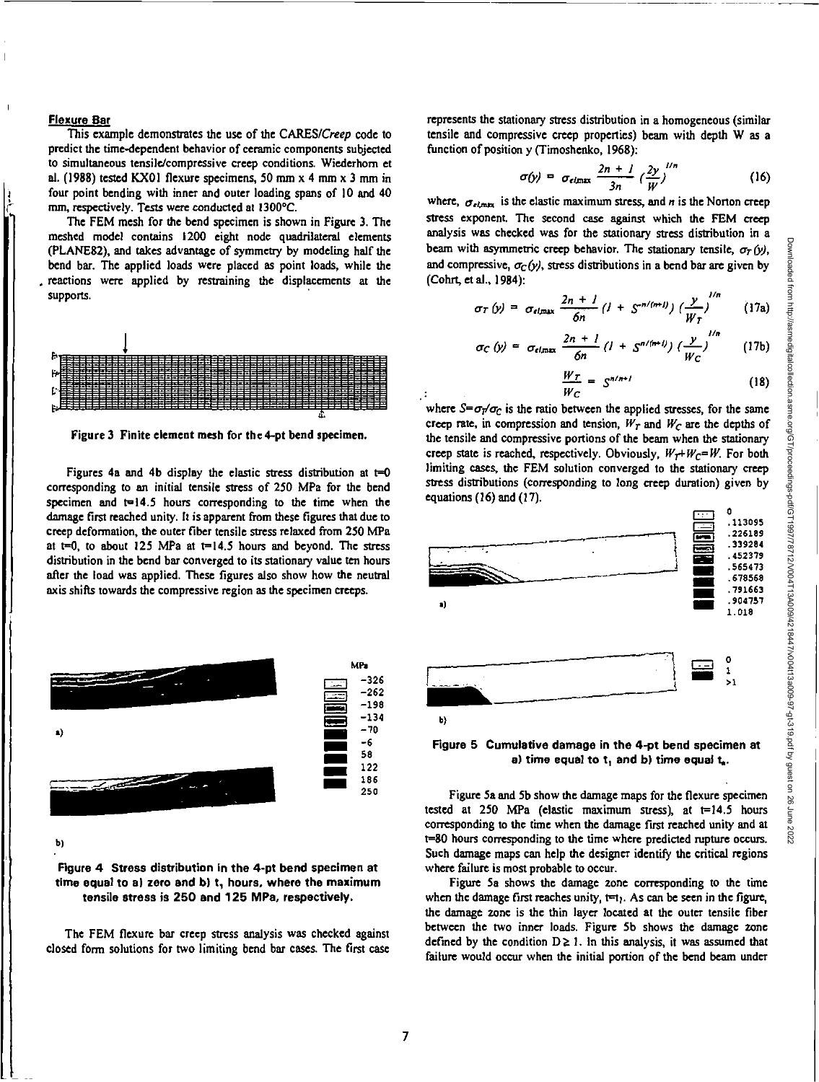## **Flexure Bar**

This example demonstrates the use of the CARES/Creep code to predict the time-dependent behavior of ceramic components subjected to simultaneous tensile/compressive creep conditions. Wiederhom et al. (1988) tested KX01 flexure specimens, 50 mm x 4 mm x 3 mm in four point bending with inner and outer loading spans of 10 and 40 mm, respectively. Tests were conducted at I300°C.

The FEM mesh for the bend specimen is shown in Figure 3. The meshed model contains 1200 eight node quadrilateral elements (PLANE82), and takes advantage of symmetry by modeling half the bend bar. The applied loads were placed as point loads, while the reactions were applied by restraining the displacements at the supports.



Figure **3 Finite element mesh for the 4-pt bend specimen.** 

Figures 4a and 4b display the elastic stress distribution at  $t=0$ corresponding to an initial tensile stress of 250 MPa for the bend specimen and  $t=14.5$  hours corresponding to the time when the damage first reached unity. It is apparent from these figures that due to creep deformation, the outer fiber tensile stress relaxed from 250 MPa at  $t=0$ , to about 125 MPa at  $t=14.5$  hours and beyond. The stress distribution in the bend bar converged to its stationary value ten hours after the load was applied. These figures also show how the neutral axis shifts towards the compressive region as the specimen creeps.



b)

# **Figure 4 Stress distribution in the 4-pt bend specimen at time equal to a) zero and b) t, hours, where the maximum tensile stress is 250 and 125 MPa, respectively.**

**The** FEM flexure bar creep stress analysis was checked against closed form solutions for two limiting bend bar cases. The first case represents the stationary stress distribution in a homogeneous (similar tensile and compressive creep properties) beam with depth W as a function of position y (Timoshenko, 1968):

$$
\sigma(y) = \sigma_{\text{elimax}} \frac{2n+1}{3n} \left(\frac{2y}{W}\right)^{1/n} \tag{16}
$$

where,  $\sigma_{elim}$  is the elastic maximum stress, and n is the Norton creep stress exponent. The second case against which the FEM creep analysis was checked was for the stationary stress distribution in a beam with asymmetric creep behavior. The stationary tensile,  $\sigma_{\tau}(\nu)$ , and compressive,  $\sigma_C(y)$ , stress distributions in a bend bar are given by (Cohrt., et al., 1984):

$$
\sigma_T(y) = \sigma_{el, max} \frac{2n + 1}{6n} (1 + S^{n/(n+1)}) \left(\frac{y}{W_T}\right)^{1/n}
$$
 (17a)

$$
\sigma_C(y) = \sigma_{el,max} \frac{2n + l}{6n} (l + S^{n/(n+l)}) \left(\frac{y}{W_C}\right)^{1/n}
$$
 (17b)

$$
\frac{W_T}{W_C} = S^{n/m} \tag{18}
$$

where  $S=\sigma_T/\sigma_C$  is the ratio between the applied stresses, for the same creep rate, in compression and tension,  $W_T$  and  $W_C$  are the depths of the tensile and compressive portions of the beam when the stationary creep state is reached, respectively. Obviously,  $W_T + W_C = W$ . For both limiting cases, the FEM solution converged to the stationary creep stress distributions (corresponding to long creep duration) given by equations (16) and (17).



# **Figure 5 Cumulative damage in the 4-pt bend specimen at**  a) time equal to t, and b) time equal t...

Figure 5a and 5b show the damage maps for the flexure specimen tested at 250 MPa (elastic maximum stress), at t=14.5 hours corresponding to the time when the damage first reached unity and at t=80 hours corresponding to the time where predicted rupture occurs. Such damage maps can help the designer identify the critical regions where failure is most probable to occur.

Figure 5a shows the damage zone corresponding to the time when the damage first reaches unity,  $t=t_1$ . As can be seen in the figure, the damage zone is the thin layer located at the outer tensile fiber between the two inner loads. Figure 5b shows the damage zone defined by the condition  $D \ge 1$ . In this analysis, it was assumed that failure would occur when the initial portion of the bend beam under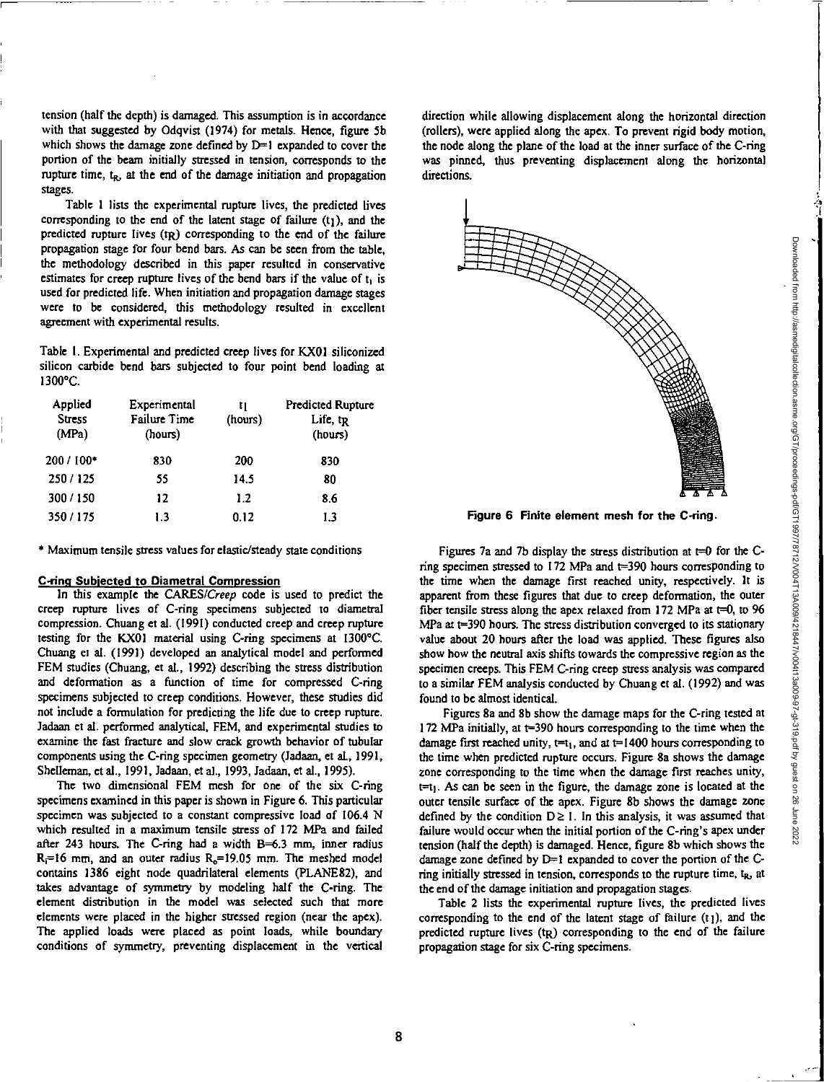tension (half the depth) is damaged. This assumption is in accordance with that suggested by Odqvist (1974) for metals. Hence, figure 5b which shows the damage zone defined by  $D=1$  expanded to cover the portion of the beam initially stressed in tension, corresponds to the rupture time,  $t<sub>R</sub>$ , at the end of the damage initiation and propagation stages.

Table 1 lists the experimental rupture lives, the predicted lives corresponding to the end of the latent stage of failure  $(t_1)$ , and the predicted rupture lives (tR) corresponding to the end of the failure propagation stage for four bend bars. As can be seen from the table, the methodology described in this paper resulted in conservative estimates for creep rupture lives of the bend bars if the value of  $t_1$  is used for predicted life. When initiation and propagation damage stages were to be considered, this methodology resulted in excellent agreement with experimental results.

Table 1. Experimental and predicted creep lives for KX01 siliconized silicon carbide bend bars subjected to four point bend loading at 1300°C.

| Applied<br><b>Stress</b><br>(MPa) | Experimental<br><b>Failure Time</b><br>(hours) | t 1<br>(hours) | <b>Predicted Rupture</b><br>Life, $tr_R$<br>(hours) |
|-----------------------------------|------------------------------------------------|----------------|-----------------------------------------------------|
| 200 / 100*                        | 830                                            | 200            | 830                                                 |
| 250/125                           | 55                                             | 14.5           | 80                                                  |
| 300/150                           | 12                                             | 1.2            | 8.6                                                 |
| 350/175                           | 1.3                                            | 0.12           | 1.3                                                 |

• Maximum tensile stress values for elastic/steady state conditions

# **C-rino Subjected to Diametral Compression**

In this example the CARES/Creep code is used to predict the creep rupture lives of C-ring specimens subjected to diametral compression. Chuang et al. (1991) conducted creep and creep rupture testing for the KX01 material using C-ring specimens at 1300°C. Chuang et al. (1991) developed an analytical model and performed FEM studies (Chuang, et al., 1992) describing the stress distribution and deformation as a function of time for compressed C-ring specimens subjected to creep conditions. However, these studies did not include a formulation for predicting the life due to creep rupture. Jadaan et al. performed analytical, FEM, and experimental studies to examine the fast fracture and slow crack growth behavior of tubular components using the C-ring specimen geometry (ladaan, et al., 1991, Shelleman, et al., 1991, Jadaan, et al., 1993, Jadaan, et al., 1995).

The two dimensional FEM mesh for one of the six C-ring specimens examined in this paper is shown in Figure 6. This particular specimen was subjected to a constant compressive load of 106.4 N which resulted in a maximum tensile stress of 172 MPa and failed after 243 hours. The C-ring had a width 8=6.3 mm, inner radius  $R_i=16$  mm, and an outer radius  $R_o=19.05$  mm. The meshed model contains 1386 eight node quadrilateral elements (PLANE82), and takes advantage of symmetry by modeling half the C-ring. The element distribution in the model was selected such that more elements were placed in the higher stressed region (near the apex). The applied loads were placed as point loads, while boundary conditions of symmetry, preventing displacement in the vertical direction while allowing displacement along the horizontal direction (rollers), were applied along the apex. To prevent rigid body motion, the node along the plane of the load at the inner surface of the C-ring was pinned, thus preventing displacement along the horizontal directions.



**Figure 6 Finite element mesh for the C-ring.** 

Figures 7a and 7b display the stress distribution at  $t=0$  for the Cring specimen stressed to 172 MPa and t=390 hours corresponding to the time when the damage first reached unity, respectively. It is apparent from these figures that due to creep deformation, the outer fiber tensile stress along the apex relaxed from 172 MPa at  $t=0$ , to 96 MPa at t=390 hours. The stress distribution converged to its stationary value about 20 hours after the load was applied. These figures also show how the neutral axis shifts towards the compressive region as the specimen creeps. This FEM C-ring creep stress analysis was compared to a similar FEM analysis conducted by Chuang et al. (1992) and was found to be almost identical.

Figures 8a and 8b show the damage maps for the C-ring tested at 172 MPa initially, at t=390 hours corresponding to the time when the damage first reached unity,  $t=t_1$ , and at  $t=1400$  hours corresponding to the time when predicted rupture occurs. Figure 8a shows the damage zone corresponding to the time when the damage first reaches unity,  $t=t<sub>1</sub>$ . As can be seen in the figure, the damage zone is located at the outer tensile surface of the apex. Figure 8b shows the damage zone defined by the condition  $D \ge 1$ . In this analysis, it was assumed that failure would occur when the initial portion of the C-ring's apex under tension (half the depth) is damaged. Hence, figure 8b which shows the damage zone defined by  $D=1$  expanded to cover the portion of the Cring initially stressed in tension, corresponds to the rupture time,  $t<sub>R</sub>$ , at the end of the damage initiation and propagation stages.

Table 2 lists the experimental rupture lives, the predicted lives corresponding to the end of the latent stage of failure  $(t_1)$ , and the predicted rupture lives (tR) corresponding to the end of the failure propagation stage for six C-ring specimens.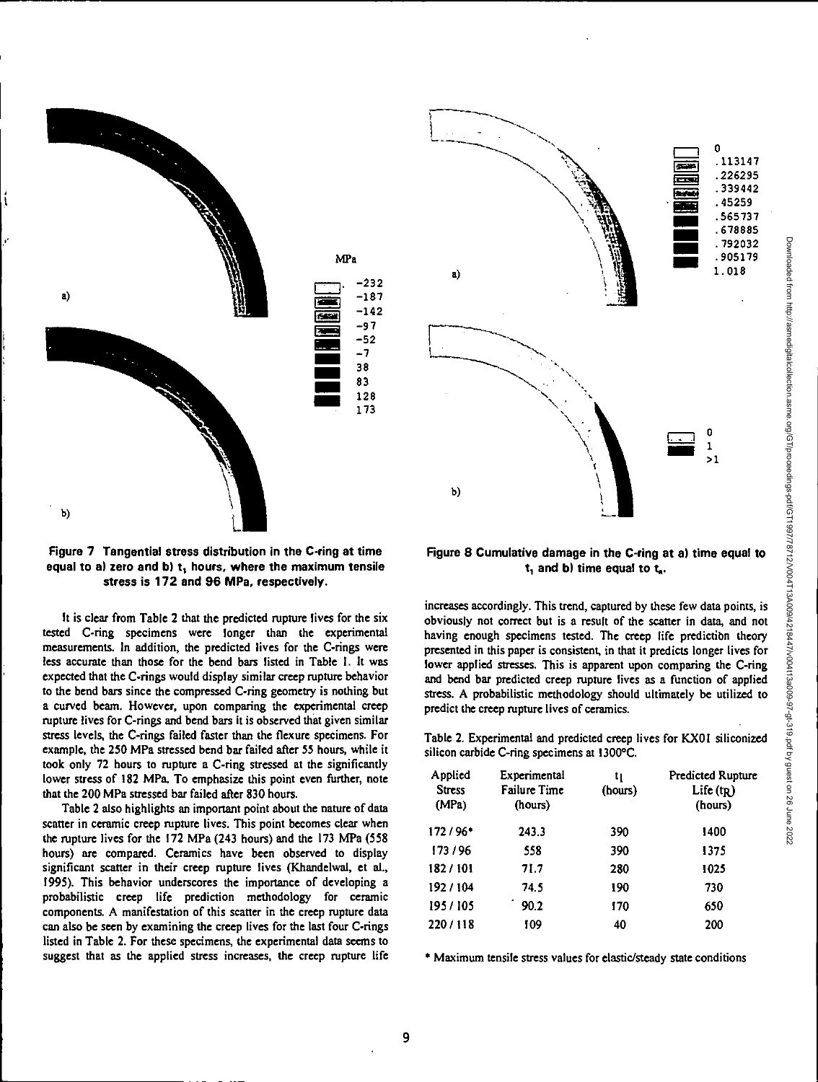



It is clear from Table 2 that the predicted rupture lives for the six tested C-ring specimens were longer than the experimental measurements. In addition, the predicted lives for the C-rings were less accurate than those for the bend bars listed in Table 1. It was expected that the C-rings would display similar creep rupture behavior to the bend bars since the compressed C-ring geometry is nothing but a curved beam. However, upon comparing the experimental creep rupture lives for C-rings and bend bars it is observed that given similar stress levels, the C-rings failed faster than the flexure specimens. For example, the 250 MPa stressed bend bar failed after 55 hours, while it took only 72 hours to rupture a C-ring stressed at the significantly lower stress of 182 MPa. To emphasize this point even further, note that the 200 MPa stressed bar failed after 830 hours.

Table 2 also highlights an important point about the nature of data scatter in ceramic creep rupture lives. This point becomes clear when the rupture lives for the 172 MPa (243 hours) and the 173 MPa (558 hours) are compared. Ceramics have been observed to display significant scatter in their creep rupture lives (Khandelwal, et al., 1995). This behavior underscores the importance of developing a probabilistic creep life prediction methodology for ceramic components. A manifestation of this scatter in the creep rupture data can also be seen by examining the creep lives for the last four C-rings listed in Table 2. For these specimens, the experimental data seems to suggest that as the applied stress increases, the creep rupture life



# **Figure 8 Cumulative damage in the C-ring at a) time equal to t, and b) time equal to t<sup>s</sup> .**

increases accordingly. This trend, captured by these few data points, is obviously not correct but is a result of the scatter in data, and not having enough specimens tested. The creep life prediction theory presented in this paper is consistent, in that it predicts longer lives for lower applied stresses. This is apparent upon comparing the C-ring and bend bar predicted creep rupture lives as a function of applied stress. A probabilistic methodology should ultimately be utilized to predict the creep rupture lives of ceramics.

Table 2. Experimental and predicted creep lives for KX01 siliconized silicon carbide C-ring specimens at I300°C.

| Experimental<br><b>Failure Time</b><br>(hours) | tı<br>(hours) | <b>Predicted Rupture</b><br>Life $(t_R)$<br>(hours) |
|------------------------------------------------|---------------|-----------------------------------------------------|
| 243.3                                          | 390           | 1400                                                |
| 558                                            | 390           | 1375                                                |
| 71.7                                           | 280           | 1025                                                |
| 74.5                                           | 190           | 730                                                 |
| 90.2                                           | 170           | 650                                                 |
| 109                                            | 40            | 200                                                 |
|                                                |               |                                                     |

• Maximum tensile stress values for elastic/steady state conditions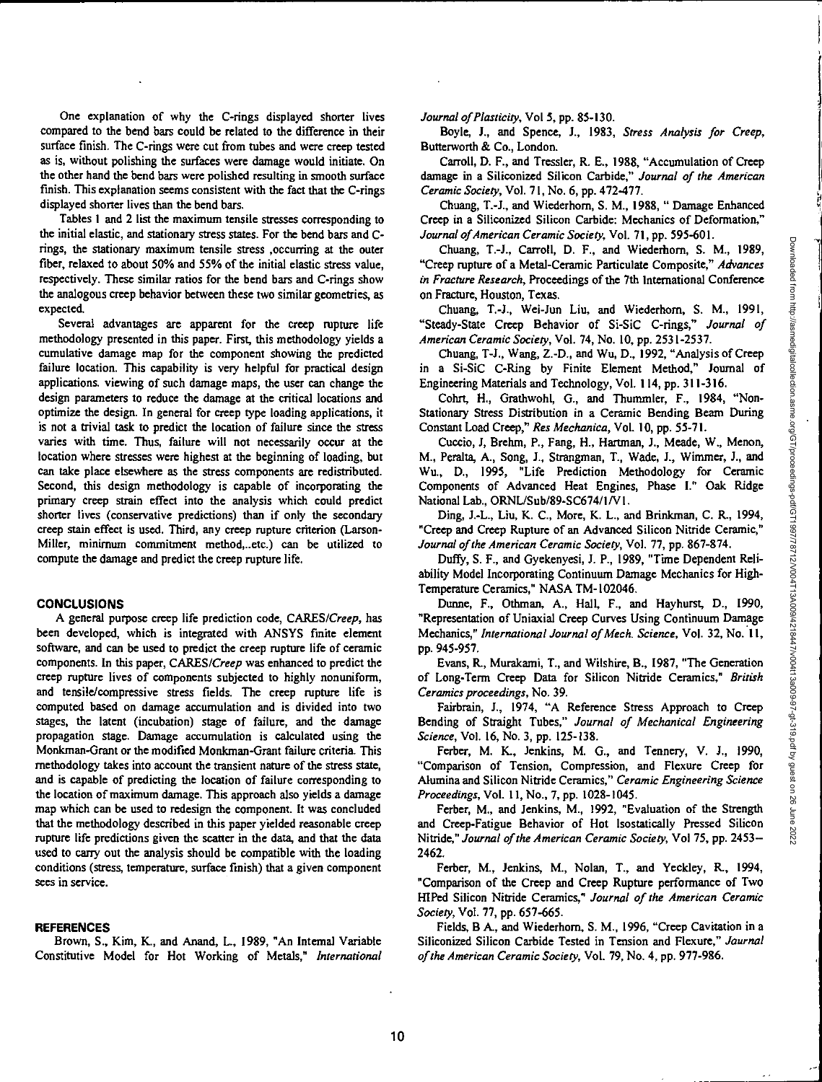One explanation of why the C-rings displayed shorter lives compared to the bend bars could be related to the difference in their surface finish. The C-rings were cut from tubes and were creep tested as is, without polishing the surfaces were damage would initiate. On the other hand the bend bars were polished resulting in smooth surface finish. This explanation seems consistent with the fact that the C-rings displayed shorter lives than the bend bars.

Tables 1 and 2 list the maximum tensile stresses corresponding to the initial elastic, and stationary stress states. For the bend bars and Crings, the stationary maximum tensile stress ,occurring at the outer fiber, relaxed to about 50% and 55% of the initial elastic stress value, respectively. These similar ratios for the bend bars and C-rings show the analogous creep behavior between these two similar geometries, as expected.

Several advantages are apparent for the creep rupture life methodology presented in this paper. First, this methodology yields a cumulative damage map for the component showing the predicted failure location. This capability is very helpful for practical design applications, viewing of such damage maps, the user can change the design parameters to reduce the damage at the critical locations and optimize the design. In general for creep type loading applications, it is not a trivial task to predict the location of failure since the stress varies with time. Thus, failure will not necessarily occur at the location where stresses were highest at the beginning of loading, but can take place elsewhere as the stress components are redistributed. Second, this design methodology is capable of incorporating the primary creep strain effect into the analysis which could predict shorter lives (conservative predictions) than if only the secondary creep stain effect is used. Third, any creep rupture criterion (Larson-Miller, minimum commitment method,..etc.) can be utilized to compute the damage and predict the creep rupture life.

#### **CONCLUSIONS**

A general purpose creep life prediction code, CARES/Creep, has been developed, which is integrated with ANSYS finite element software, and can be used to predict the creep rupture life of ceramic components. In this paper, CARES/Creep was enhanced to predict the creep rupture lives of components subjected to highly nonuniform, and tensile/compressive stress fields. The creep rupture life is computed based on damage accumulation and is divided into two stages, the latent (incubation) stage of failure, and the damage propagation stage. Damage accumulation is calculated using the Monkman-Grant or the modified Monkman-Grant failure criteria. This methodology takes into account the transient nature of the stress state, and is capable of predicting the location of failure corresponding to the location of maximum damage. This approach also yields a damage map which can be used to redesign the component. It was concluded that the methodology described in this paper yielded reasonable creep rupture life predictions given the scatter in the data, and that the data used to carry out the analysis should be compatible with the loading conditions (stress, temperature, surface finish) that a given component sees in service.

#### **REFERENCES**

Brown, S., Kim, K., and Anand, L., 1989, "An Internal Variable Constitutive Model for Hot Working of Metals," *International*  *Journal of Plasticity,* Vol 5, pp. 85-130.

Boyle, **I.,** and Spence, J., 1983, *Stress Analysis for Creep,*  Butterworth & Co., London.

Carroll, D. F., and Tressler, R. E., 1988, "Accumulation of Creep damage in a Siliconized Silicon Carbide," *Journal of the American Ceramic Society,* Vol. 71, No. 6, pp. 472-477.

Chuang, T.-J., and Wiederhom, S. M., 1988, "Damage Enhanced Creep in a Siliconized Silicon Carbide: Mechanics of Deformation," *Journal of American Ceramic Society,* Vol. 71, pp. 595-601.

Chuang, T.-J., Carroll, D. F., and Wiederhorn, S. M., 1989, "Creep rupture of a Metal-Ceramic Particulate Composite," *Advances in Fracture Research,* Proceedings of the 7th International Conference on Fracture, Houston, Texas.

Chuang, 1.4., Wei-Jun Liu, and Wiederhorn, S. M., 1991, "Steady-State Creep Behavior of Si-SiC C-rings," *Journal of American Ceramic Society,* Vol. 74, No. 10, pp. 2531-2537.

Chuang, T-J., Wang, Z.-D., and Wu, D., 1992, "Analysis of Creep in a Si-SiC C-Ring by Finite Element Method," Journal of Engineering Materials and Technology, Vol. 114, pp. 311-316.

Cohn, H., Grathwohl, G., and Thummler, F., 1984, "Non-Stationary Stress Distribution in a Ceramic Bending Beam During Constant Load Creep," *Res Mechanica,* Vol. 10, pp. 55-71.

Cuccio, J, Brehm, P., Fang, H., Hartman, J., Meade, W., Menon, M., Peralta, A., Song, *J.,* Strangman, T., Wade, J., Wimmer, J., and Wu., D., 1995, "Life Prediction Methodology for Ceramic Components of Advanced Heat Engines, Phase I." Oak Ridge National Lab., ORNL/Sub/89-SC674/1N I .

Ding, J.-L., Liu, K. C., More, K. L., and Brinkman, C. R., 1994, "Creep and Creep Rupture of an Advanced Silicon Nitride Ceramic," *Journal of the American Ceramic Society,* Vol. 77, pp. 867-874.

Duffy, S. F., and Gyekenyesi, J. P., 1989, "Time Dependent Reliability Model Incorporating Continuum Damage Mechanics for High-Temperature Ceramics," NASA TM-I02046.

Dunne, **F.,** Othman, A., Hall, F., and Hayhurst, D., 1990, "Representation of Uniaxial Creep Curves Using Continuum *Damage*  Mechanics," *International Journal of Mech. Science,* Vol. 32, No. 11, pp. 945-957.

Evans, R., Murakami, T., and Wilshire, **B.,** 1987, "The Generation of Long-Term Creep Data for Silicon Nitride Ceramics," *British Ceramics proceedings,* No. 39.

Fairbrain, J., 1974, "A Reference Stress Approach to Creep Bending of Straight Tubes," *Journal of Mechanical Engineering Science,* Vol. 16, No. 3, pp. 125-138.

Ferber, M. K., Jenkins, M. G., and Tennery, V. J., 1990, "Comparison of Tension, Compression, and Flexure Creep for Alumina and Silicon Nitride Ceramics," *Ceramic Engineering Science Proceedings,* Vol. 11, No., 7, pp. 1028-1045.

Ferber, M., and Jenkins, M., 1992, "Evaluation of the Strength and Creep-Fatigue Behavior of Hot Isostatically Pressed Silicon Nitride," *Journal of the American Ceramic Society,* Vol 75, pp. 2453- 2462.

Ferber, M., Jenkins, M., Nolan, T., and Yeckley, R., 1994, "Comparison of the Creep and Creep Rupture performance of Two HIPed Silicon Nitride Ceramics," *Journal of the American Ceramic Society,* Vol. 77, pp. 657-665.

Fields, B A., and Wiederhom, S. M., 1996, "Creep Cavitation in a Siliconized Silicon Carbide Tested in Tension and Flexure," *Journal of the American Ceramic Society,* Vol. 79, No. 4, pp. 977-986.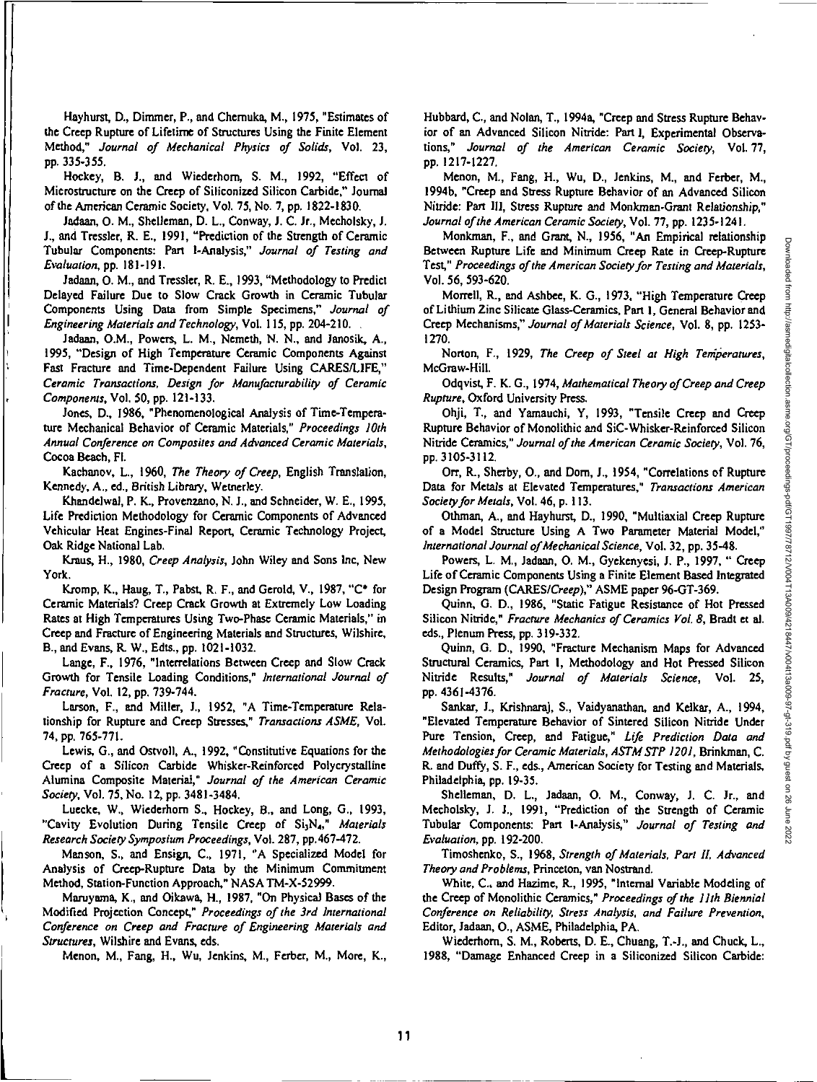Hayhurst, D., Dimmer, P., and Chemuka, M., 1975, "Estimates of the Creep Rupture of Lifetime of Structures Using the Finite Element Method," Journal of Mechanical Physics of Solids, Vol. 23, pp. 335-355.

Hockey, B. J., and Wiederhom, S. M., 1992, "Effect of Microstructure on the Creep of Siliconized Silicon Carbide," Journal of the American **Ceramic** Society, Vol. 75, No. 7, pp. 1822-1830.

Jadaan, 0. M., Shelleman, D. L., Conway, J. C. Jr., Mecholsky, J. J., and Tressler, R. E., 1991, "Prediction of the Strength of Ceramic Tubular Components: Part I-Analysis," Journal of Testing and Evaluation, pp. 181-191.

Jadaan, 0. M., and Tressler, R. E., 1993, "Methodology to Predict Delayed Failure Due to Slow Crack Growth in Ceramic Tubular Components Using Data from Simple Specimens," Journal of Engineering Materials and Technology, Vol. 115, pp. 204-210.

Jadaan, O.M., Powers, L. M., Nemeth, N. N., and Janosik, A., 1995, "Design of High Temperature Ceramic Components Against Fast Fracture and Time-Dependent Failure Using CARES/LIFE," Ceramic Transactions, Design for Manufacturability of Ceramic Components, Vol. 50, pp. 121-133.

Jones, D., 1986, "Phenomenological Analysis of Time-Temperature Mechanical Behavior of Ceramic Materials," Proceedings 10th Annual Conference on Composites and Advanced Ceramic Materials, Cocoa Beach, Fl.

Kachanov, L., 1960, The Theory of Creep, English Translation, Kennedy, A., ed., British Library, Wetnerley.

Khandelwal, P. K., Provenzano, N. J., and Schneider, W. E., 1995, Life Prediction Methodology for Ceramic Components of Advanced Vehicular Heat Engines-Final Report, Ceramic Technology Project, Oak Ridge National Lab.

Kraus, H., 1980, Creep Analysis, John Wiley and Sons Inc, New York.

Kromp, K., Haug, T., Pabst, R. F., and Gerold, V., 1987, "C\* for Ceramic Materials? Creep Crack Growth at Extremely Low Loading Rates at High Temperatures Using Two-Phase Ceramic Materials," in Creep and Fracture of Engineering Materials and Structures, Wilshire, B., and Evans, R. W., Edts., pp. 1021-1032.

Lange, F., 1976, "Interrelations Between Creep and Slow Crack Growth for Tensile Loading Conditions," International Journal of Fracture, Vol. 12, pp. 739-744.

Larson, F., and Miller, J., 1952, "A Time-Temperature Relationship for Rupture and Creep Stresses," Transactions ASME, Vol. 74, pp. 765-771.

Lewis, G., and Ostvoll, A., 1992, "Constitutive Equations for the Creep of a Silicon Carbide Whisker-Reinforced Polycrystalline Alumina Composite Material," Journal of the American Ceramic Society, Vol. 75, No. 12, pp. 3481-3484.

Luecke, W., Wiederhorn S., Hockey, B., and Long, G., 1993, "Cavity Evolution During Tensile Creep of Si<sub>3</sub>N<sub>4</sub>," Materials Research Society Symposium Proceedings, Vol. 287, pp.467-472.

Manson, S., and Ensign, C., 1971, "A Specialized Model for Analysis of Creep-Rupture Data by the Minimum Commitment Method, Station-Function Approach," NASA TM-X-52999.

Maruyama, K., and Oikawa, H., 1987, "On Physical Bases of the Modified Projection Concept," Proceedings of the 3rd International Conference on Creep and Fracture of Engineering Materials and Structures, Wilshire and Evans, eds.

&tenon, M., Fang, H., Wu, Jenkins, M., Ferber, M., More, K.,

Hubbard, C., and Nolan, T., 1994a, "Creep and Stress Rupture Behavior of an Advanced Silicon Nitride: Part I, Experimental Observations," Journal of the American Ceramic Society, Vol. 77, pp. 1217-1227.

Menon, M., Fang, H., Wu, D., Jenkins, M., and Ferber, M., I994b, "Creep and Stress Rupture Behavior of an Advanced Silicon Nitride: Part Ill, Stress Rupture and Monkman-Grant Relationship," Journal of the American Ceramic Society, Vol. 77, pp. 1235-1241.

Monkman, F., and Grant, N., 1956, "An Empirical relationship Between Rupture Life and Minimum Creep Rate in Creep-Rupture Test," Proceedings of the American Society for Testing and Materials, Vol. 56, 593-620,

Morrell, R., and Ashbee, K. G., 1973, "High Temperature Creep of Lithium Zinc Silicate Glass-Ceramics, Part I, General Behavior and Creep Mechanisms," Journal of Materials Science, Vol. 8, pp. 1253- 1270.

Norton, F., 1929, The Creep of Steel at High Temperatures, McGraw-Hill.

Odqvist, F. K. G., 1974, Mathematical Theory of Creep and Creep Rupture, Oxford University Press.

Ohji, T., and Yamauchi, Y, 1993, "Tensile Creep and Creep Rupture Behavior of Monolithic and SiC-Whisker-Reinforced Silicon Nitride Ceramics," Journal of the American Ceramic Society, Vol. 76, pp. 3105-3112.

**Off,** R., Sherby, 0., and Dorn, J., 1954, "Correlations of Rupture Data for Metals at Elevated Temperatures," Transactions American Society for Metals, Vol. 46, p. 113.

Othman, A., and Hayhurst, D., 1990, "Multiaxial Creep Rupture of a Model Structure Using A Two Parameter Material Model," International Journal of Mechanical Science, Vol. 32, pp. 35-48.

Powers, L. M., Jadaan, 0. M., Gyekenyesi, J. P., 1997, " Creep Life of Ceramic Components Using a Finite Element Based Integrated Design Program (CARES/Creep)," ASME paper 96-GT-369.

Quinn, G. D., 1986, "Static Fatigue Resistance of Hot Pressed Silicon Nitride," Fracture Mechanics of Ceramics Vol. 8, Bradt et al. eds., Plenum Press, pp. 319-332.

Quinn, G. D., 1990, "Fracture Mechanism Maps for Advanced Structural Ceramics, Part I, Methodology and Hot Pressed Silicon Nitride Results," Journal of Materials Science, Vol. 25, pp. 4361-4376.

Sankar, J., Krishnaraj, S., Vaidyanathan, and Kelkar, A., 1994, "Elevated Temperature Behavior of Sintered Silicon Nitride Under Pure Tension, Creep, and Fatigue," Life Prediction Data and Methodologies for Ceramic Materials, ASTM STP 1201, Brinkman, C. R. and Duffy, S. F., eds., American Society for Testing and Materials, Philadelphia, pp. 19-35.

Shelleman, D. L., Jadaan, 0. M., Conway, J. C. Jr., and Mecholsky, J. J., 1991, "Prediction of the Strength of Ceramic Tubular Components: Part 1-Analysis," Journal of Testing and Evaluation, pp. 192-200.

Timoshenko, S., 1968, Strength of Materials, Part H, Advanced Theory and Problems, Princeton, van Nostrand.

White, C., and Hazime, R., 1995, "Internal Variable Modeling of the Creep of Monolithic Ceramics," Proceedings of the 11th Biennial Conference on Reliability, Stress Analysis, and Failure Prevention, Editor, Jadaan, 0., ASME, Philadelphia, PA.

Wiederhom, S. M., Roberts, D. E., Chuang, T.-J., and Chuck, L., 1988, "Damage Enhanced Creep in a Siliconized Silicon Carbide: